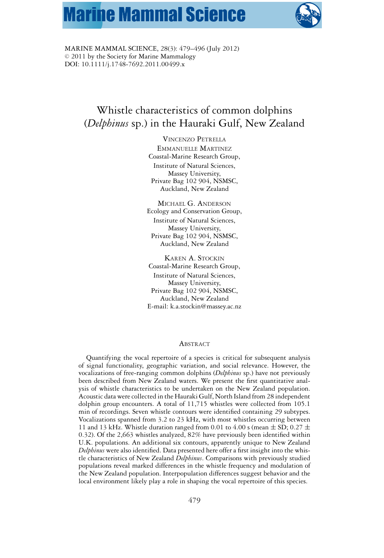# **Marine Mammal Science**



MARINE MAMMAL SCIENCE, 28(3): 479–496 (July 2012)  $© 2011$  by the Society for Marine Mammalogy DOI: 10.1111/j.1748-7692.2011.00499.x

# Whistle characteristics of common dolphins (*Delphinus* sp.) in the Hauraki Gulf, New Zealand

VINCENZO PETRELLA EMMANUELLE MARTINEZ Coastal-Marine Research Group, Institute of Natural Sciences, Massey University, Private Bag 102 904, NSMSC, Auckland, New Zealand

MICHAEL G. ANDERSON Ecology and Conservation Group, Institute of Natural Sciences, Massey University, Private Bag 102 904, NSMSC, Auckland, New Zealand

KAREN A. STOCKIN Coastal-Marine Research Group, Institute of Natural Sciences, Massey University, Private Bag 102 904, NSMSC, Auckland, New Zealand E-mail: k.a.stockin@massey.ac.nz

#### ABSTRACT

Quantifying the vocal repertoire of a species is critical for subsequent analysis of signal functionality, geographic variation, and social relevance. However, the vocalizations of free-ranging common dolphins (*Delphinus* sp.) have not previously been described from New Zealand waters. We present the first quantitative analysis of whistle characteristics to be undertaken on the New Zealand population. Acoustic data were collected in the Hauraki Gulf, North Island from 28 independent dolphin group encounters. A total of 11,715 whistles were collected from 105.1 min of recordings. Seven whistle contours were identified containing 29 subtypes. Vocalizations spanned from 3.2 to 23 kHz, with most whistles occurring between 11 and 13 kHz. Whistle duration ranged from 0.01 to 4.00 s (mean  $\pm$  SD; 0.27  $\pm$ 0.32). Of the 2,663 whistles analyzed, 82% have previously been identified within U.K. populations. An additional six contours, apparently unique to New Zealand *Delphinus* were also identified. Data presented here offer a first insight into the whistle characteristics of New Zealand *Delphinus*. Comparisons with previously studied populations reveal marked differences in the whistle frequency and modulation of the New Zealand population. Interpopulation differences suggest behavior and the local environment likely play a role in shaping the vocal repertoire of this species.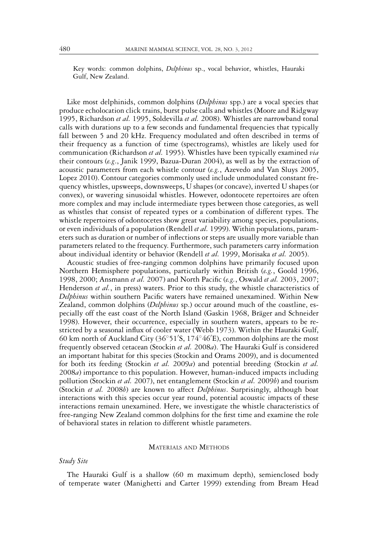Key words: common dolphins, *Delphinus* sp., vocal behavior, whistles, Hauraki Gulf, New Zealand.

Like most delphinids, common dolphins (*Delphinus* spp.) are a vocal species that produce echolocation click trains, burst pulse calls and whistles (Moore and Ridgway 1995, Richardson *et al.* 1995, Soldevilla *et al.* 2008). Whistles are narrowband tonal calls with durations up to a few seconds and fundamental frequencies that typically fall between 5 and 20 kHz. Frequency modulated and often described in terms of their frequency as a function of time (spectrograms), whistles are likely used for communication (Richardson *et al.* 1995). Whistles have been typically examined *via* their contours (*e.g*., Janik 1999, Bazua-Duran 2004), as well as by the extraction of acoustic parameters from each whistle contour (*e.g.*, Azevedo and Van Sluys 2005, Lopez 2010). Contour categories commonly used include unmodulated constant frequency whistles, upsweeps, downsweeps, U shapes (or concave), inverted U shapes (or convex), or wavering sinusoidal whistles. However, odontocete repertoires are often more complex and may include intermediate types between those categories, as well as whistles that consist of repeated types or a combination of different types. The whistle repertoires of odontocetes show great variability among species, populations, or even individuals of a population (Rendell *et al.* 1999). Within populations, parameters such as duration or number of inflections or steps are usually more variable than parameters related to the frequency. Furthermore, such parameters carry information about individual identity or behavior (Rendell *et al.* 1999, Morisaka *et al.* 2005).

Acoustic studies of free-ranging common dolphins have primarily focused upon Northern Hemisphere populations, particularly within British (*e.g.*, Goold 1996, 1998, 2000; Ansmann *et al.* 2007) and North Pacific (*e.g.*, Oswald *et al.* 2003, 2007; Henderson *et al.*, in press) waters. Prior to this study, the whistle characteristics of *Delphinus* within southern Pacific waters have remained unexamined. Within New Zealand, common dolphins (*Delphinus* sp.) occur around much of the coastline, especially off the east coast of the North Island (Gaskin 1968, Bräger and Schneider 1998). However, their occurrence, especially in southern waters, appears to be restricted by a seasonal influx of cooler water (Webb 1973). Within the Hauraki Gulf, 60 km north of Auckland City (36◦51 S, 174◦46 E), common dolphins are the most frequently observed cetacean (Stockin *et al.* 2008*a*). The Hauraki Gulf is considered an important habitat for this species (Stockin and Orams 2009), and is documented for both its feeding (Stockin *et al.* 2009*a*) and potential breeding (Stockin *et al.* 2008*a*) importance to this population. However, human-induced impacts including pollution (Stockin *et al.* 2007), net entanglement (Stockin *et al.* 2009*b*) and tourism (Stockin *et al.* 2008*b*) are known to affect *Delphinus*. Surprisingly, although boat interactions with this species occur year round, potential acoustic impacts of these interactions remain unexamined. Here, we investigate the whistle characteristics of free-ranging New Zealand common dolphins for the first time and examine the role of behavioral states in relation to different whistle parameters.

# MATERIALS AND METHODS

# *Study Site*

The Hauraki Gulf is a shallow (60 m maximum depth), semienclosed body of temperate water (Manighetti and Carter 1999) extending from Bream Head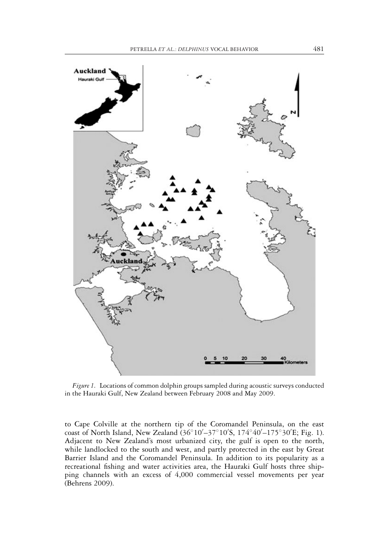

*Figure 1.* Locations of common dolphin groups sampled during acoustic surveys conducted in the Hauraki Gulf, New Zealand between February 2008 and May 2009.

to Cape Colville at the northern tip of the Coromandel Peninsula, on the east coast of North Island, New Zealand (36◦10 –37◦10 S, 174◦40 –175◦30 E; Fig. 1). Adjacent to New Zealand's most urbanized city, the gulf is open to the north, while landlocked to the south and west, and partly protected in the east by Great Barrier Island and the Coromandel Peninsula. In addition to its popularity as a recreational fishing and water activities area, the Hauraki Gulf hosts three shipping channels with an excess of 4,000 commercial vessel movements per year (Behrens 2009).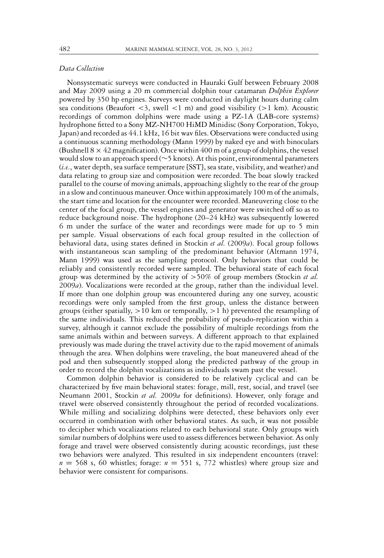#### *Data Collection*

Nonsystematic surveys were conducted in Hauraki Gulf between February 2008 and May 2009 using a 20 m commercial dolphin tour catamaran *Dolphin Explorer* powered by 350 hp engines. Surveys were conducted in daylight hours during calm sea conditions (Beaufort *<*3, swell *<*1 m) and good visibility (*>*1 km). Acoustic recordings of common dolphins were made using a PZ-1A (LAB-core systems) hydrophone fitted to a Sony MZ-NH700 HiMD Minidisc (Sony Corporation, Tokyo, Japan) and recorded as 44.1 kHz, 16 bit wav files. Observations were conducted using a continuous scanning methodology (Mann 1999) by naked eye and with binoculars (Bushnell  $8 \times 42$  magnification). Once within 400 m of a group of dolphins, the vessel would slow to an approach speed (∼5 knots). At this point, environmental parameters (*i.e*., water depth, sea surface temperature [SST], sea state, visibility, and weather) and data relating to group size and composition were recorded. The boat slowly tracked parallel to the course of moving animals, approaching slightly to the rear of the group in a slow and continuous maneuver. Once within approximately 100 m of the animals, the start time and location for the encounter were recorded. Maneuvering close to the center of the focal group, the vessel engines and generator were switched off so as to reduce background noise. The hydrophone (20–24 kHz) was subsequently lowered 6 m under the surface of the water and recordings were made for up to 5 min per sample. Visual observations of each focal group resulted in the collection of behavioral data, using states defined in Stockin *et al.* (2009*a*). Focal group follows with instantaneous scan sampling of the predominant behavior (Altmann 1974, Mann 1999) was used as the sampling protocol. Only behaviors that could be reliably and consistently recorded were sampled. The behavioral state of each focal group was determined by the activity of *>*50% of group members (Stockin *et al.* 2009*a*). Vocalizations were recorded at the group, rather than the individual level. If more than one dolphin group was encountered during any one survey, acoustic recordings were only sampled from the first group, unless the distance between groups (either spatially, *>*10 km or temporally, *>*1 h) prevented the resampling of the same individuals. This reduced the probability of pseudo-replication within a survey, although it cannot exclude the possibility of multiple recordings from the same animals within and between surveys. A different approach to that explained previously was made during the travel activity due to the rapid movement of animals through the area. When dolphins were traveling, the boat maneuvered ahead of the pod and then subsequently stopped along the predicted pathway of the group in order to record the dolphin vocalizations as individuals swam past the vessel.

Common dolphin behavior is considered to be relatively cyclical and can be characterized by five main behavioral states: forage, mill, rest, social, and travel (see Neumann 2001, Stockin *et al.* 2009*a* for definitions). However, only forage and travel were observed consistently throughout the period of recorded vocalizations. While milling and socializing dolphins were detected, these behaviors only ever occurred in combination with other behavioral states. As such, it was not possible to decipher which vocalizations related to each behavioral state. Only groups with similar numbers of dolphins were used to assess differences between behavior. As only forage and travel were observed consistently during acoustic recordings, just these two behaviors were analyzed. This resulted in six independent encounters (travel:  $n = 568$  s, 60 whistles; forage:  $n = 551$  s, 772 whistles) where group size and behavior were consistent for comparisons.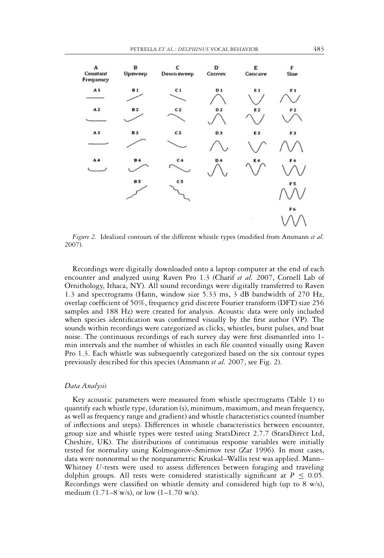

*Figure 2.* Idealized contours of the different whistle types (modified from Ansmann *et al.* 2007).

Recordings were digitally downloaded onto a laptop computer at the end of each encounter and analyzed using Raven Pro 1.3 (Charif *et al.* 2007, Cornell Lab of Ornithology, Ithaca, NY). All sound recordings were digitally transferred to Raven 1.3 and spectrograms (Hann, window size 5.33 ms, 3 dB bandwidth of 270 Hz, overlap coefficient of 50%, frequency grid discrete Fourier transform (DFT) size 256 samples and 188 Hz) were created for analysis. Acoustic data were only included when species identification was confirmed visually by the first author (VP). The sounds within recordings were categorized as clicks, whistles, burst pulses, and boat noise. The continuous recordings of each survey day were first dismantled into 1 min intervals and the number of whistles in each file counted visually using Raven Pro 1.3. Each whistle was subsequently categorized based on the six contour types previously described for this species (Ansmann *et al.* 2007, see Fig. 2).

#### *Data Analysis*

Key acoustic parameters were measured from whistle spectrograms (Table 1) to quantify each whistle type, (duration (s), minimum, maximum, and mean frequency, as well as frequency range and gradient) and whistle characteristics counted (number of inflections and steps). Differences in whistle characteristics between encounter, group size and whistle types were tested using StatsDirect 2.7.7 (StatsDirect Ltd, Cheshire, UK). The distributions of continuous response variables were initially tested for normality using Kolmogorov–Smirnov test (Zar 1996). In most cases, data were nonnormal so the nonparametric Kruskal–Wallis test was applied. Mann– Whitney *U-*tests were used to assess differences between foraging and traveling dolphin groups. All tests were considered statistically significant at  $P \leq 0.05$ . Recordings were classified on whistle density and considered high (up to 8 w/s), medium  $(1.71-8 \text{ w/s})$ , or low  $(1-1.70 \text{ w/s})$ .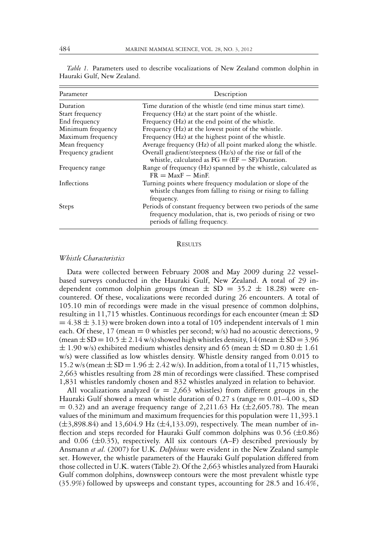| Parameter          | Description                                                                                                                                                   |
|--------------------|---------------------------------------------------------------------------------------------------------------------------------------------------------------|
| Duration           | Time duration of the whistle (end time minus start time).                                                                                                     |
| Start frequency    | Frequency (Hz) at the start point of the whistle.                                                                                                             |
| End frequency      | Frequency (Hz) at the end point of the whistle.                                                                                                               |
| Minimum frequency  | Frequency (Hz) at the lowest point of the whistle.                                                                                                            |
| Maximum frequency  | Frequency (Hz) at the highest point of the whistle.                                                                                                           |
| Mean frequency     | Average frequency (Hz) of all point marked along the whistle.                                                                                                 |
| Frequency gradient | Overall gradient/steepness (Hz/s) of the rise or fall of the<br>whistle, calculated as $FG = (EF - SF)/Duration$ .                                            |
| Frequency range    | Range of frequency (Hz) spanned by the whistle, calculated as<br>$FR = MaxF - MinF$                                                                           |
| Inflections        | Turning points where frequency modulation or slope of the<br>whistle changes from falling to rising or rising to falling<br>frequency.                        |
| <b>Steps</b>       | Periods of constant frequency between two periods of the same<br>frequency modulation, that is, two periods of rising or two<br>periods of falling frequency. |

*Table 1.* Parameters used to describe vocalizations of New Zealand common dolphin in Hauraki Gulf, New Zealand.

#### **RESULTS**

# *Whistle Characteristics*

Data were collected between February 2008 and May 2009 during 22 vesselbased surveys conducted in the Hauraki Gulf, New Zealand. A total of 29 independent common dolphin groups (mean  $\pm$  SD = 35.2  $\pm$  18.28) were encountered. Of these, vocalizations were recorded during 26 encounters. A total of 105.10 min of recordings were made in the visual presence of common dolphins, resulting in 11,715 whistles. Continuous recordings for each encounter (mean  $\pm$  SD  $= 4.38 \pm 3.13$ ) were broken down into a total of 105 independent intervals of 1 min each. Of these, 17 (mean  $= 0$  whistles per second; w/s) had no acoustic detections, 9 (mean  $\pm$  SD = 10.5  $\pm$  2.14 w/s) showed high whistles density, 14 (mean  $\pm$  SD = 3.96  $\pm$  1.90 w/s) exhibited medium whistles density and 65 (mean  $\pm$  SD = 0.80  $\pm$  1.61 w/s) were classified as low whistles density. Whistle density ranged from 0.015 to 15.2 w/s (mean  $\pm$  SD = 1.96  $\pm$  2.42 w/s). In addition, from a total of 11,715 whistles, 2,663 whistles resulting from 28 min of recordings were classified. These comprised 1,831 whistles randomly chosen and 832 whistles analyzed in relation to behavior.

All vocalizations analyzed  $(n = 2,663)$  whistles) from different groups in the Hauraki Gulf showed a mean whistle duration of 0.27 s (range  $= 0.01 - 4.00$  s, SD  $= 0.32$ ) and an average frequency range of 2,211.63 Hz ( $\pm$ 2,605.78). The mean values of the minimum and maximum frequencies for this population were 11,393.1  $(\pm 3,898.84)$  and 13,604.9 Hz ( $\pm 4,133.09$ ), respectively. The mean number of inflection and steps recorded for Hauraki Gulf common dolphins was  $0.56 \ (\pm 0.86)$ and  $0.06$  ( $\pm 0.35$ ), respectively. All six contours (A–F) described previously by Ansmann *et al.* (2007) for U.K. *Delphinus* were evident in the New Zealand sample set. However, the whistle parameters of the Hauraki Gulf population differed from those collected in U.K. waters (Table 2). Of the 2,663 whistles analyzed from Hauraki Gulf common dolphins, downsweep contours were the most prevalent whistle type (35.9%) followed by upsweeps and constant types, accounting for 28.5 and 16.4%,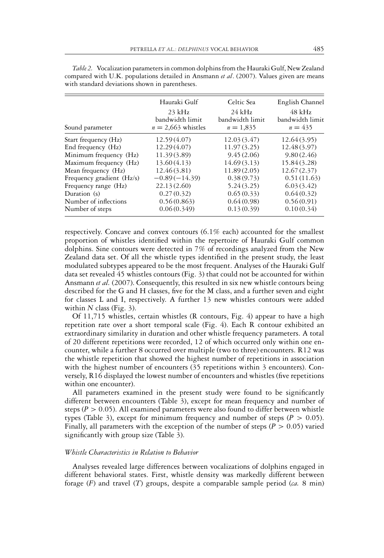| Sound parameter           | Hauraki Gulf<br>$23$ kHz<br>bandwidth limit<br>$n = 2,663$ whistles | Celtic Sea<br>$24$ kHz<br>bandwidth limit<br>$n = 1,835$ | English Channel<br>$48$ kHz<br>bandwidth limit<br>$n = 435$ |
|---------------------------|---------------------------------------------------------------------|----------------------------------------------------------|-------------------------------------------------------------|
| Start frequency (Hz)      | 12.59(4.07)                                                         | 12.03 (3.47)                                             | 12.64(3.95)                                                 |
| End frequency (Hz)        | 12.29 (4.07)                                                        | 11.97(3.25)                                              | 12.48(3.97)                                                 |
| Minimum frequency (Hz)    | 11.39 (3.89)                                                        | 9.45(2.06)                                               | 9.80(2.46)                                                  |
| Maximum frequency (Hz)    | 13.60 (4.13)                                                        | 14.69(3.13)                                              | 15.84(3.28)                                                 |
| Mean frequency (Hz)       | 12.46(3.81)                                                         | 11.89(2.05)                                              | 12.67(2.37)                                                 |
| Frequency gradient (Hz/s) | $-0.89(-14.39)$                                                     | 0.38(9.73)                                               | 0.51(11.63)                                                 |
| Frequency range (Hz)      | 22.13(2.60)                                                         | 5.24(3.25)                                               | 6.03(3.42)                                                  |
| Duration (s)              | 0.27(0.32)                                                          | 0.65(0.33)                                               | 0.64(0.32)                                                  |
| Number of inflections     | 0.56(0.863)                                                         | 0.64(0.98)                                               | 0.56(0.91)                                                  |
| Number of steps           | 0.06(0.349)                                                         | 0.13(0.39)                                               | 0.10(0.34)                                                  |

*Table 2.* Vocalization parameters in common dolphins from the Hauraki Gulf, New Zealand compared with U.K. populations detailed in Ansmann *et al*. (2007). Values given are means with standard deviations shown in parentheses.

respectively. Concave and convex contours (6.1% each) accounted for the smallest proportion of whistles identified within the repertoire of Hauraki Gulf common dolphins. Sine contours were detected in 7% of recordings analyzed from the New Zealand data set. Of all the whistle types identified in the present study, the least modulated subtypes appeared to be the most frequent. Analyses of the Hauraki Gulf data set revealed 45 whistles contours (Fig. 3) that could not be accounted for within Ansmann *et al.* (2007). Consequently, this resulted in six new whistle contours being described for the G and H classes, five for the M class, and a further seven and eight for classes L and I, respectively. A further 13 new whistles contours were added within *N* class (Fig. 3).

Of 11,715 whistles, certain whistles (R contours, Fig. 4) appear to have a high repetition rate over a short temporal scale (Fig. 4). Each R contour exhibited an extraordinary similarity in duration and other whistle frequency parameters. A total of 20 different repetitions were recorded, 12 of which occurred only within one encounter, while a further 8 occurred over multiple (two to three) encounters. R12 was the whistle repetition that showed the highest number of repetitions in association with the highest number of encounters (35 repetitions within 3 encounters). Conversely, R16 displayed the lowest number of encounters and whistles (five repetitions within one encounter).

All parameters examined in the present study were found to be significantly different between encounters (Table 3), except for mean frequency and number of steps ( $P > 0.05$ ). All examined parameters were also found to differ between whistle types (Table 3), except for minimum frequency and number of steps ( $P > 0.05$ ). Finally, all parameters with the exception of the number of steps ( $P > 0.05$ ) varied significantly with group size (Table 3).

# *Whistle Characteristics in Relation to Behavior*

Analyses revealed large differences between vocalizations of dolphins engaged in different behavioral states. First, whistle density was markedly different between forage (*F*) and travel (*T*) groups, despite a comparable sample period (*ca.* 8 min)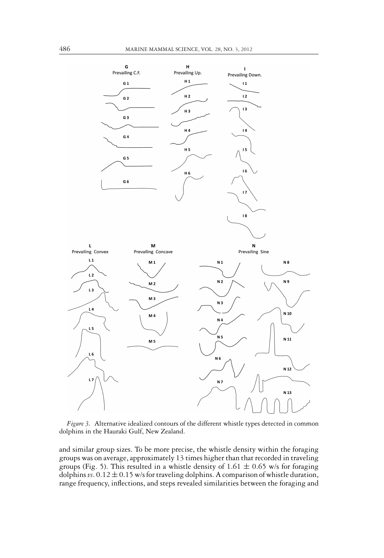

*Figure 3.* Alternative idealized contours of the different whistle types detected in common dolphins in the Hauraki Gulf, New Zealand.

and similar group sizes. To be more precise, the whistle density within the foraging groups was on average, approximately 13 times higher than that recorded in traveling groups (Fig. 5). This resulted in a whistle density of 1.61  $\pm$  0.65 w/s for foraging dolphins  $v_s$ . 0.12  $\pm$  0.15 w/s for traveling dolphins. A comparison of whistle duration, range frequency, inflections, and steps revealed similarities between the foraging and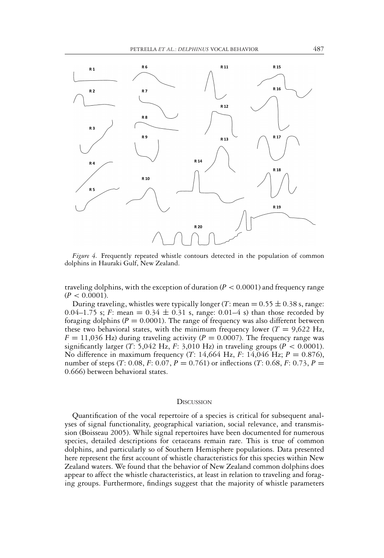

*Figure 4.* Frequently repeated whistle contours detected in the population of common dolphins in Hauraki Gulf, New Zealand.

traveling dolphins, with the exception of duration  $(P < 0.0001)$  and frequency range  $(P < 0.0001)$ .

During traveling, whistles were typically longer  $(T: \text{mean} = 0.55 \pm 0.38 \text{ s}, \text{range})$ . 0.04–1.75 s; *F*: mean =  $0.34 \pm 0.31$  s, range: 0.01–4 s) than those recorded by foraging dolphins ( $P = 0.0001$ ). The range of frequency was also different between these two behavioral states, with the minimum frequency lower ( $T = 9,622$  Hz,  $F = 11,036$  Hz) during traveling activity ( $P = 0.0007$ ). The frequency range was significantly larger (*T*: 5,042 Hz, *F*: 3,010 Hz) in traveling groups ( $P < 0.0001$ ). No difference in maximum frequency (*T*: 14,664 Hz, *F*: 14,046 Hz; *P* = 0.876), number of steps (*T*: 0.08, *F*: 0.07, *P* = 0.761) or inflections (*T*: 0.68, *F*: 0.73, *P* = 0.666) between behavioral states.

#### **DISCUSSION**

Quantification of the vocal repertoire of a species is critical for subsequent analyses of signal functionality, geographical variation, social relevance, and transmission (Boisseau 2005). While signal repertoires have been documented for numerous species, detailed descriptions for cetaceans remain rare. This is true of common dolphins, and particularly so of Southern Hemisphere populations. Data presented here represent the first account of whistle characteristics for this species within New Zealand waters. We found that the behavior of New Zealand common dolphins does appear to affect the whistle characteristics, at least in relation to traveling and foraging groups. Furthermore, findings suggest that the majority of whistle parameters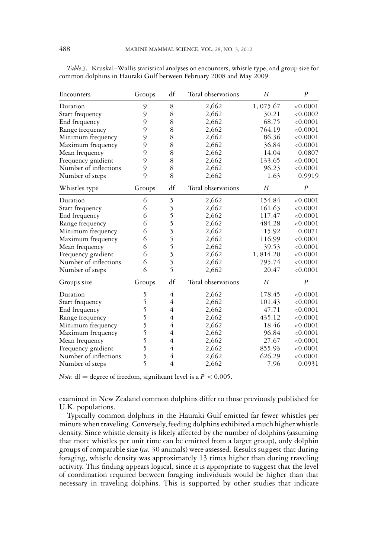| Encounters            | Groups | df             | Total observations | H        | $\boldsymbol{P}$ |
|-----------------------|--------|----------------|--------------------|----------|------------------|
|                       |        |                |                    |          |                  |
| Duration              | 9      | 8              | 2,662              | 1,075.67 | < 0.0001         |
| Start frequency       | 9      | 8              | 2,662              | 30.21    | < 0.0002         |
| End frequency         | 9      | 8              | 2,662              | 68.75    | < 0.0001         |
| Range frequency       | 9      | 8              | 2,662              | 764.19   | < 0.0001         |
| Minimum frequency     | 9      | 8              | 2,662              | 86.36    | < 0.0001         |
| Maximum frequency     | 9      | 8              | 2,662              | 36.84    | < 0.0001         |
| Mean frequency        | 9      | 8              | 2,662              | 14.04    | 0.0807           |
| Frequency gradient    | 9      | 8              | 2,662              | 133.65   | < 0.0001         |
| Number of inflections | 9      | 8              | 2,662              | 96.23    | < 0.0001         |
| Number of steps       | 9      | 8              | 2,662              | 1.63     | 0.9919           |
| Whistles type         | Groups | df             | Total observations | H        | $\overline{P}$   |
| Duration              | 6      | 5              | 2,662              | 154.84   | < 0.0001         |
| Start frequency       | 6      | 5              | 2,662              | 161.63   | < 0.0001         |
| End frequency         | 6      | 5              | 2,662              | 117.47   | < 0.0001         |
| Range frequency       | 6      | 5              | 2,662              | 484.28   | < 0.0001         |
| Minimum frequency     | 6      | 5              | 2,662              | 15.92    | 0.0071           |
| Maximum frequency     | 6      | 5              | 2,662              | 116.99   | < 0.0001         |
| Mean frequency        | 6      | 5              | 2,662              | 39.53    | < 0.0001         |
| Frequency gradient    | 6      | 5              | 2,662              | 1,814.20 | < 0.0001         |
| Number of inflections | 6      | 5              | 2,662              | 795.74   | < 0.0001         |
| Number of steps       | 6      | 5              | 2,662              | 20.47    | < 0.0001         |
| Groups size           | Groups | df             | Total observations | H        | $\overline{P}$   |
| Duration              | 5      | $\overline{4}$ | 2,662              | 178.45   | < 0.0001         |
| Start frequency       | 5      | 4              | 2,662              | 101.43   | < 0.0001         |
| End frequency         | 5      | 4              | 2,662              | 47.71    | < 0.0001         |
| Range frequency       | 5      | 4              | 2,662              | 435.12   | < 0.0001         |
| Minimum frequency     | 5      | 4              | 2,662              | 18.46    | < 0.0001         |
| Maximum frequency     | 5      | 4              | 2,662              | 96.84    | < 0.0001         |
| Mean frequency        | 5      | 4              | 2,662              | 27.67    | < 0.0001         |
| Frequency gradient    | 5      | 4              | 2,662              | 855.93   | < 0.0001         |
| Number of inflections | 5      | 4              | 2,662              | 626.29   | < 0.0001         |
| Number of steps       | 5      | 4              | 2,662              | 7.96     | 0.0931           |

*Table 3.* Kruskal–Wallis statistical analyses on encounters, whistle type, and group size for common dolphins in Hauraki Gulf between February 2008 and May 2009.

*Note*:  $df = degree of freedom, significant level is a  $P < 0.005$ .$ 

examined in New Zealand common dolphins differ to those previously published for U.K. populations.

Typically common dolphins in the Hauraki Gulf emitted far fewer whistles per minute when traveling. Conversely, feeding dolphins exhibited a much higher whistle density. Since whistle density is likely affected by the number of dolphins (assuming that more whistles per unit time can be emitted from a larger group), only dolphin groups of comparable size (*ca.* 30 animals) were assessed. Results suggest that during foraging, whistle density was approximately 13 times higher than during traveling activity. This finding appears logical, since it is appropriate to suggest that the level of coordination required between foraging individuals would be higher than that necessary in traveling dolphins. This is supported by other studies that indicate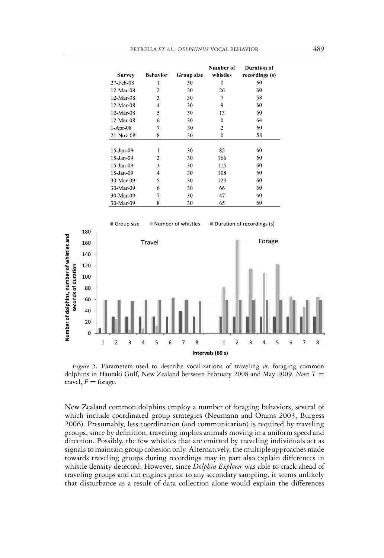| <b>Survey</b> | <b>Behavior</b> | Group size | Number of<br>whistles | <b>Duration of</b><br>recordings (s) |
|---------------|-----------------|------------|-----------------------|--------------------------------------|
| 27 Feb 08     | 1               | 30         | 0                     | 60                                   |
| 12 Mar 08     | 2               | 30         | 26                    | 60                                   |
| 12 Mar 08     | 3               | 30         | 7                     | 58                                   |
| 12 Mar 08     | 4               | 30         | 9                     | 60                                   |
| 12 Mar 08     | 5               | 30         | 13                    | 60                                   |
| 12 Mar 08     | 6               | 30         | $\theta$              | 64                                   |
| 1 Apr 08      | 7               | 30         | $\overline{2}$        | 60                                   |
| 21 Nov 08     | 8               | 30         | 0                     | 58                                   |
|               |                 |            |                       |                                      |
| 15 Jan 09     | 1               | 30         | 82                    | 60                                   |
| 15 Jan 09     | 2               | 30         | 166                   | 60                                   |
| 15 Jan 09     | 3               | 30         | 115                   | 60                                   |
| 15 Jan 09     | 4               | 30         | 108                   | 60                                   |
| 30 Mar 09     | 5               | 30         | 123                   | 60                                   |
| 30 Mar 09     | 6               | 30         | 66                    | 60                                   |
| 30 Mar 09     | 7               | 30         | 47                    | 60                                   |
| 30 Mar 09     | 8               | 30         | 65                    | 60                                   |



*Figure 5.* Parameters used to describe vocalizations of traveling *vs*. foraging common dolphins in Hauraki Gulf, New Zealand between February 2008 and May 2009. *Note*: *T* = travel,  $F =$  forage.

New Zealand common dolphins employ a number of foraging behaviors, several of which include coordinated group strategies (Neumann and Orams 2003, Burgess 2006). Presumably, less coordination (and communication) is required by traveling groups, since by definition, traveling implies animals moving in a uniform speed and direction. Possibly, the few whistles that are emitted by traveling individuals act as signals to maintain group cohesion only. Alternatively, the multiple approaches made towards traveling groups during recordings may in part also explain differences in whistle density detected. However, since *Dolphin Explorer* was able to track ahead of traveling groups and cut engines prior to any secondary sampling, it seems unlikely that disturbance as a result of data collection alone would explain the differences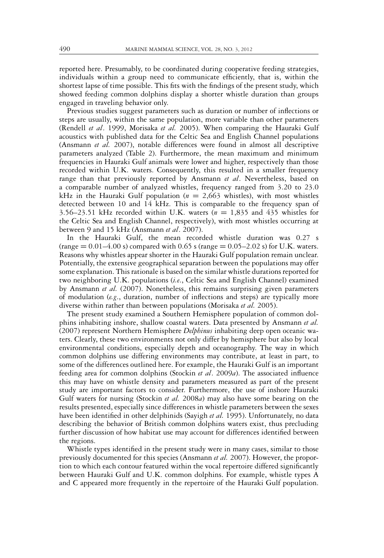reported here. Presumably, to be coordinated during cooperative feeding strategies, individuals within a group need to communicate efficiently, that is, within the shortest lapse of time possible. This fits with the findings of the present study, which showed feeding common dolphins display a shorter whistle duration than groups engaged in traveling behavior only.

Previous studies suggest parameters such as duration or number of inflections or steps are usually, within the same population, more variable than other parameters (Rendell *et al*. 1999, Morisaka *et al.* 2005). When comparing the Hauraki Gulf acoustics with published data for the Celtic Sea and English Channel populations (Ansmann *et al.* 2007), notable differences were found in almost all descriptive parameters analyzed (Table 2). Furthermore, the mean maximum and minimum frequencies in Hauraki Gulf animals were lower and higher, respectively than those recorded within U.K. waters. Consequently, this resulted in a smaller frequency range than that previously reported by Ansmann *et al*. Nevertheless, based on a comparable number of analyzed whistles, frequency ranged from 3.20 to 23.0 kHz in the Hauraki Gulf population  $(n = 2,663)$  whistles), with most whistles detected between 10 and 14 kHz. This is comparable to the frequency span of 3.56–23.51 kHz recorded within U.K. waters  $(n = 1,835)$  and 435 whistles for the Celtic Sea and English Channel, respectively), with most whistles occurring at between 9 and 15 kHz (Ansmann *et al*. 2007).

In the Hauraki Gulf, the mean recorded whistle duration was 0.27 s (range  $= 0.01 - 4.00$  s) compared with 0.65 s (range  $= 0.05 - 2.02$  s) for U.K. waters. Reasons why whistles appear shorter in the Hauraki Gulf population remain unclear. Potentially, the extensive geographical separation between the populations may offer some explanation. This rationale is based on the similar whistle durations reported for two neighboring U.K. populations (*i.e*., Celtic Sea and English Channel) examined by Ansmann *et al.* (2007). Nonetheless, this remains surprising given parameters of modulation (*e.g*., duration, number of inflections and steps) are typically more diverse within rather than between populations (Morisaka *et al.* 2005).

The present study examined a Southern Hemisphere population of common dolphins inhabiting inshore, shallow coastal waters. Data presented by Ansmann *et al.* (2007) represent Northern Hemisphere *Delphinus* inhabiting deep open oceanic waters. Clearly, these two environments not only differ by hemisphere but also by local environmental conditions, especially depth and oceanography. The way in which common dolphins use differing environments may contribute, at least in part, to some of the differences outlined here. For example, the Hauraki Gulf is an important feeding area for common dolphins (Stockin *et al*. 2009*a*). The associated influence this may have on whistle density and parameters measured as part of the present study are important factors to consider. Furthermore, the use of inshore Hauraki Gulf waters for nursing (Stockin *et al.* 2008*a*) may also have some bearing on the results presented, especially since differences in whistle parameters between the sexes have been identified in other delphinids (Sayigh *et al.* 1995). Unfortunately, no data describing the behavior of British common dolphins waters exist, thus precluding further discussion of how habitat use may account for differences identified between the regions.

Whistle types identified in the present study were in many cases, similar to those previously documented for this species (Ansmann *et al.* 2007). However, the proportion to which each contour featured within the vocal repertoire differed significantly between Hauraki Gulf and U.K. common dolphins. For example, whistle types A and C appeared more frequently in the repertoire of the Hauraki Gulf population.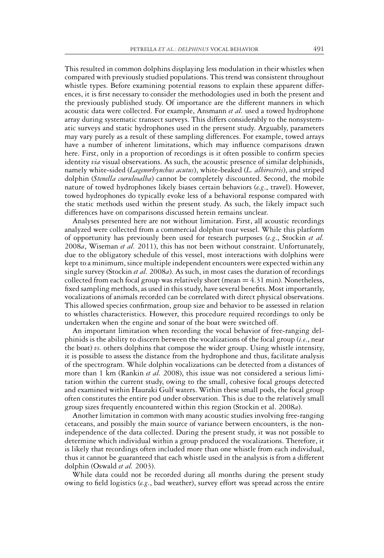This resulted in common dolphins displaying less modulation in their whistles when compared with previously studied populations. This trend was consistent throughout whistle types. Before examining potential reasons to explain these apparent differences, it is first necessary to consider the methodologies used in both the present and the previously published study. Of importance are the different manners in which acoustic data were collected. For example, Ansmann *et al.* used a towed hydrophone array during systematic transect surveys. This differs considerably to the nonsystematic surveys and static hydrophones used in the present study. Arguably, parameters may vary purely as a result of these sampling differences. For example, towed arrays have a number of inherent limitations, which may influence comparisons drawn here. First, only in a proportion of recordings is it often possible to confirm species identity *via* visual observations. As such, the acoustic presence of similar delphinids, namely white-sided (*Lagenorhynchus acutus*), white-beaked (*L. albirostris*), and striped dolphin (*Stenella coeruleoalba*) cannot be completely discounted. Second, the mobile nature of towed hydrophones likely biases certain behaviors (*e.g*., travel). However, towed hydrophones do typically evoke less of a behavioral response compared with the static methods used within the present study. As such, the likely impact such differences have on comparisons discussed herein remains unclear.

Analyses presented here are not without limitation. First, all acoustic recordings analyzed were collected from a commercial dolphin tour vessel. While this platform of opportunity has previously been used for research purposes (*e.g*., Stockin *et al.* 2008*a*, Wiseman *et al.* 2011), this has not been without constraint. Unfortunately, due to the obligatory schedule of this vessel, most interactions with dolphins were kept to a minimum, since multiple independent encounters were expected within any single survey (Stockin *et al.* 2008*a*). As such, in most cases the duration of recordings collected from each focal group was relatively short (mean  $= 4.31$  min). Nonetheless, fixed sampling methods, as used in this study, have several benefits. Most importantly, vocalizations of animals recorded can be correlated with direct physical observations. This allowed species confirmation, group size and behavior to be assessed in relation to whistles characteristics. However, this procedure required recordings to only be undertaken when the engine and sonar of the boat were switched off.

An important limitation when recording the vocal behavior of free-ranging delphinids is the ability to discern between the vocalizations of the focal group (*i.e*., near the boat)  $\alpha$ , others dolphins that compose the wider group. Using whistle intensity, it is possible to assess the distance from the hydrophone and thus, facilitate analysis of the spectrogram. While dolphin vocalizations can be detected from a distances of more than 1 km (Rankin *et al.* 2008), this issue was not considered a serious limitation within the current study, owing to the small, cohesive focal groups detected and examined within Hauraki Gulf waters. Within these small pods, the focal group often constitutes the entire pod under observation. This is due to the relatively small group sizes frequently encountered within this region (Stockin et al. 2008*a*).

Another limitation in common with many acoustic studies involving free-ranging cetaceans, and possibly the main source of variance between encounters, is the nonindependence of the data collected. During the present study, it was not possible to determine which individual within a group produced the vocalizations. Therefore, it is likely that recordings often included more than one whistle from each individual, thus it cannot be guaranteed that each whistle used in the analysis is from a different dolphin (Oswald *et al.* 2003).

While data could not be recorded during all months during the present study owing to field logistics (*e.g*., bad weather), survey effort was spread across the entire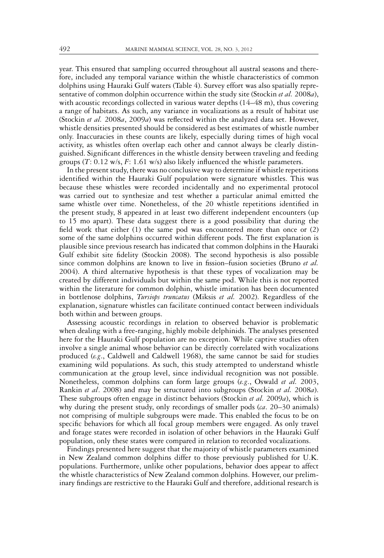year. This ensured that sampling occurred throughout all austral seasons and therefore, included any temporal variance within the whistle characteristics of common dolphins using Hauraki Gulf waters (Table 4). Survey effort was also spatially representative of common dolphin occurrence within the study site (Stockin *et al.* 2008*a*), with acoustic recordings collected in various water depths (14–48 m), thus covering a range of habitats. As such, any variance in vocalizations as a result of habitat use (Stockin *et al.* 2008*a*, 2009*a*) was reflected within the analyzed data set. However, whistle densities presented should be considered as best estimates of whistle number only. Inaccuracies in these counts are likely, especially during times of high vocal activity, as whistles often overlap each other and cannot always be clearly distinguished. Significant differences in the whistle density between traveling and feeding groups (*T*: 0.12 w/s, *F*: 1.61 w/s) also likely influenced the whistle parameters.

In the present study, there was no conclusive way to determine if whistle repetitions identified within the Hauraki Gulf population were signature whistles. This was because these whistles were recorded incidentally and no experimental protocol was carried out to synthesize and test whether a particular animal emitted the same whistle over time. Nonetheless, of the 20 whistle repetitions identified in the present study, 8 appeared in at least two different independent encounters (up to 15 mo apart). These data suggest there is a good possibility that during the field work that either (1) the same pod was encountered more than once or (2) some of the same dolphins occurred within different pods. The first explanation is plausible since previous research has indicated that common dolphins in the Hauraki Gulf exhibit site fidelity (Stockin 2008). The second hypothesis is also possible since common dolphins are known to live in fission–fusion societies (Bruno *et al.* 2004). A third alternative hypothesis is that these types of vocalization may be created by different individuals but within the same pod. While this is not reported within the literature for common dolphin, whistle imitation has been documented in bottlenose dolphins, *Tursiops truncatus* (Miksis *et al.* 2002). Regardless of the explanation, signature whistles can facilitate continued contact between individuals both within and between groups.

Assessing acoustic recordings in relation to observed behavior is problematic when dealing with a free-ranging, highly mobile delphinids. The analyses presented here for the Hauraki Gulf population are no exception. While captive studies often involve a single animal whose behavior can be directly correlated with vocalizations produced (*e.g*., Caldwell and Caldwell 1968), the same cannot be said for studies examining wild populations. As such, this study attempted to understand whistle communication at the group level, since individual recognition was not possible. Nonetheless, common dolphins can form large groups (*e.g*., Oswald *et al.* 2003, Rankin *et al*. 2008) and may be structured into subgroups (Stockin *et al.* 2008*a*). These subgroups often engage in distinct behaviors (Stockin *et al.* 2009*a*), which is why during the present study, only recordings of smaller pods (*ca*. 20–30 animals) not comprising of multiple subgroups were made. This enabled the focus to be on specific behaviors for which all focal group members were engaged. As only travel and forage states were recorded in isolation of other behaviors in the Hauraki Gulf population, only these states were compared in relation to recorded vocalizations.

Findings presented here suggest that the majority of whistle parameters examined in New Zealand common dolphins differ to those previously published for U.K. populations. Furthermore, unlike other populations, behavior does appear to affect the whistle characteristics of New Zealand common dolphins. However, our preliminary findings are restrictive to the Hauraki Gulf and therefore, additional research is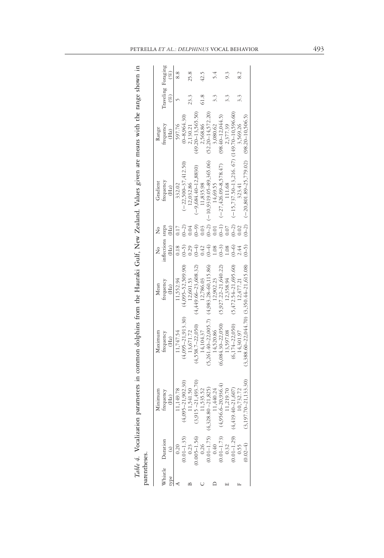|                                                                                         | Minimum                   | Maximum                                           | Mean                     |                           |                 | Gradient                                        | Range                 |                              |      |
|-----------------------------------------------------------------------------------------|---------------------------|---------------------------------------------------|--------------------------|---------------------------|-----------------|-------------------------------------------------|-----------------------|------------------------------|------|
| Thistle Duration                                                                        | trequency<br>(Hz)         | trequency<br>(Hz)                                 | trequency<br>(Hz)        | inflections steps<br>(Hz) | (Hz)            | trequency<br>(Hz)                               | frequency<br>(Hz)     | Traveling Foraging<br>$(\%)$ | (%)  |
| 0.20                                                                                    | 11,149.78                 | 11,747.54                                         | 11,552.94                | 0.18                      |                 | 332.02                                          | 597.76                |                              |      |
|                                                                                         | $5 - 21,902.30$<br>(4,09) | $(4,095 - 21,913.30)$                             | $(4,095 - 52,509.90)$    | $(0 - 5)$                 | $(0 - 2)$       | $(-22,500 - 37,412.50)$                         | $(0 - 8,964,30)$      |                              |      |
|                                                                                         | 11,541.50                 | 13,671.72                                         | 12,601.53                |                           |                 | 12,032.86                                       | 2,130.21              |                              | 25.8 |
|                                                                                         | $-21,493.70$<br>(3,915)   | $(4,558.7 - 22.050)$                              | $(4,449.66 - 23.608.32)$ |                           | $\widehat{(-)}$ | $(-9,684.40 - 12,8830)$                         | $49.20 - 13.565.50$   |                              |      |
|                                                                                         | 1,535.52                  | 14,104.37                                         | 12,786.03                |                           |                 | 11,835.98                                       | 2,568.86              |                              | 12.5 |
| (0.01–1.35)<br>0.23<br>0.005–1.56)<br>0.005–1.56)<br>(0.1–1.75) (<br>0.40–1.73)<br>0.32 | $-21,825$<br>(4,328.80)   | $(5,261.40 - 22.005.7)$                           | $(4,983,28 - 60,115,86)$ |                           | $(-2)$          | $-10,9319,05-89,365.06$                         | $(52.20 - 14.572.20)$ |                              |      |
|                                                                                         | 11,440.24                 | 14,520.86                                         | 12.902.23                | 08                        | 0.01            | 14,69.55                                        | 3,080.62              |                              |      |
|                                                                                         | $(4,956.6 - 20,936.4)$    | $(6,084.30 - 22,050)$                             | $(5,927.22 - 21,640.22)$ | $(-3)$                    | $(0-1)$         | $-27,426.09-8,578.47$                           | $(98.40 - 12.044.5)$  |                              |      |
|                                                                                         | 11,219.70                 | 13,597.08                                         | 12,358.94                | $\frac{8}{2}$             |                 | 111.68                                          | 2,377.39              |                              |      |
|                                                                                         | $(4,419.40 - 21,607)$     | $(6.174 - 22.050)$                                | $(5,472.54 - 21,695.60)$ | $(0 - 6)$                 | $(0 - 2)$       | $(-15, 737.50 - 13, 216.67)$ (149.70-10.596.60) |                       |                              |      |
| $0.01 - 1.29$<br>0.55                                                                   | 10,732.72                 | 14,301.97                                         | 12,477.21                | :44                       |                 | 323.41                                          | 3,569.26              |                              |      |
| $0.02 - 4$                                                                              | $(3,197.70 - 21,133.30)$  | $(3,388.60 - 22,044.70)$ $(3,350.44 - 21,615.08)$ |                          | $(0 - 5)$                 | $(0 - 2)$       | $(-20,801.89 - 25,779.02)$ (98.20-10,506.5)     |                       |                              |      |

| ֧֧֧֧֧֧֛֚֩֘֝֝֝֝֘֝֬֝֬֝֬֝֓֝֬֝֓֝֬֝֓֕֝֬֝֓֝֬֝֓֝֬֝֓֝֬֝֓֝֬<br>֧֪֧֧֧֧֛֪֪֪ׅ֛֪֪֛֚֚֚֚֚֚֚֚֚֚֚֚֚֚֚֚֚֚֚֚֚֚֝֝֝֬֝֬ |                  |  |
|---------------------------------------------------------------------------------------------------|------------------|--|
|                                                                                                   |                  |  |
|                                                                                                   |                  |  |
|                                                                                                   |                  |  |
|                                                                                                   |                  |  |
|                                                                                                   |                  |  |
| w Zealand. Values given are means with the r                                                      |                  |  |
| י<br>ו                                                                                            |                  |  |
|                                                                                                   |                  |  |
|                                                                                                   |                  |  |
|                                                                                                   |                  |  |
| $\sim$ $\sim$ $\sim$ $\sim$ $\sim$ $\sim$ $\sim$                                                  |                  |  |
| overs in common dolphing from the Haumbi (-                                                       |                  |  |
|                                                                                                   |                  |  |
|                                                                                                   |                  |  |
|                                                                                                   |                  |  |
|                                                                                                   |                  |  |
|                                                                                                   |                  |  |
|                                                                                                   |                  |  |
|                                                                                                   |                  |  |
|                                                                                                   |                  |  |
|                                                                                                   |                  |  |
| ֦֧֦֦֖֧֪֪֦֧֚֚֚֝֬֝֝֬֝֬֝֓֕֓֬֝֓֬֝֬֝֓֬֝֓֬֝֓֝֬֓֝                                                        |                  |  |
| .<br>۽                                                                                            |                  |  |
|                                                                                                   |                  |  |
|                                                                                                   |                  |  |
| $\ddot{\phantom{0}}$                                                                              | į<br>į<br>۱<br>j |  |
|                                                                                                   |                  |  |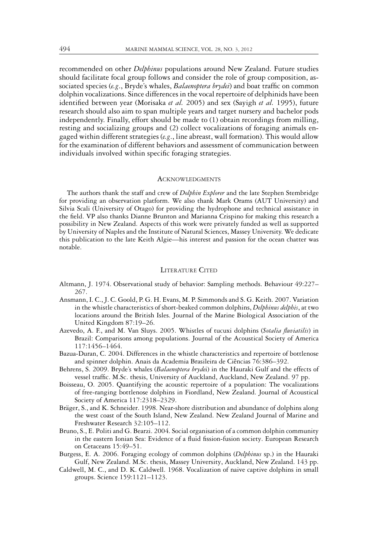recommended on other *Delphinus* populations around New Zealand. Future studies should facilitate focal group follows and consider the role of group composition, associated species (*e.g*., Bryde's whales, *Balaenoptera brydei*) and boat traffic on common dolphin vocalizations. Since differences in the vocal repertoire of delphinids have been identified between year (Morisaka *et al.* 2005) and sex (Sayigh *et al.* 1995), future research should also aim to span multiple years and target nursery and bachelor pods independently. Finally, effort should be made to (1) obtain recordings from milling, resting and socializing groups and (2) collect vocalizations of foraging animals engaged within different strategies (*e.g*., line abreast, wall formation). This would allow for the examination of different behaviors and assessment of communication between individuals involved within specific foraging strategies.

# **ACKNOWLEDGMENTS**

The authors thank the staff and crew of *Dolphin Explorer* and the late Stephen Stembridge for providing an observation platform. We also thank Mark Orams (AUT University) and Silvia Scali (University of Otago) for providing the hydrophone and technical assistance in the field. VP also thanks Dianne Brunton and Marianna Crispino for making this research a possibility in New Zealand. Aspects of this work were privately funded as well as supported by University of Naples and the Institute of Natural Sciences, Massey University. We dedicate this publication to the late Keith Algie—his interest and passion for the ocean chatter was notable.

## LITERATURE CITED

- Altmann, J. 1974. Observational study of behavior: Sampling methods. Behaviour 49:227– 267.
- Ansmann, I. C., J. C. Goold, P. G. H. Evans, M. P. Simmonds and S. G. Keith. 2007. Variation in the whistle characteristics of short-beaked common dolphins, *Delphinus delphis*, at two locations around the British Isles. Journal of the Marine Biological Association of the United Kingdom 87:19–26.
- Azevedo, A. F., and M. Van Sluys. 2005. Whistles of tucuxi dolphins (*Sotalia fluviatilis*) in Brazil: Comparisons among populations. Journal of the Acoustical Society of America 117:1456–1464.
- Bazua-Duran, C. 2004. Differences in the whistle characteristics and repertoire of bottlenose and spinner dolphin. Anais da Academia Brasileira de Ciências 76:386-392.
- Behrens, S. 2009. Bryde's whales (*Balaenoptera bryde*i) in the Hauraki Gulf and the effects of vessel traffic. M.Sc. thesis, University of Auckland, Auckland, New Zealand. 97 pp.
- Boisseau, O. 2005. Quantifying the acoustic repertoire of a population: The vocalizations of free-ranging bottlenose dolphins in Fiordland, New Zealand. Journal of Acoustical Society of America 117:2318–2329.
- Bräger, S., and K. Schneider. 1998. Near-shore distribution and abundance of dolphins along the west coast of the South Island, New Zealand. New Zealand Journal of Marine and Freshwater Research 32:105–112.
- Bruno, S., E. Politi and G. Bearzi. 2004. Social organisation of a common dolphin community in the eastern Ionian Sea: Evidence of a fluid fission-fusion society. European Research on Cetaceans 15:49–51.
- Burgess, E. A. 2006. Foraging ecology of common dolphins (*Delphinus* sp.) in the Hauraki Gulf, New Zealand. M.Sc. thesis, Massey University, Auckland, New Zealand. 143 pp.
- Caldwell, M. C., and D. K. Caldwell. 1968. Vocalization of naive captive dolphins in small groups. Science 159:1121–1123.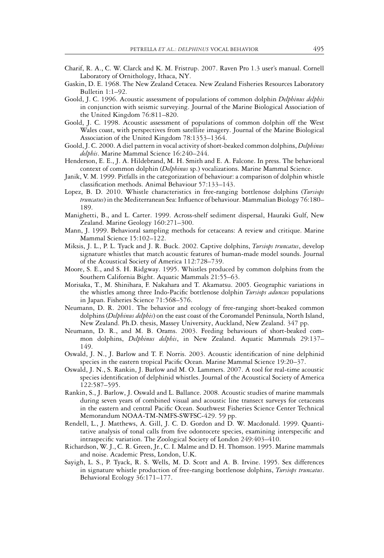- Charif, R. A., C. W. Clarck and K. M. Fristrup. 2007. Raven Pro 1.3 user's manual. Cornell Laboratory of Ornithology, Ithaca, NY.
- Gaskin, D. E. 1968. The New Zealand Cetacea. New Zealand Fisheries Resources Laboratory Bulletin 1:1–92.
- Goold, J. C. 1996. Acoustic assessment of populations of common dolphin *Delphinus delphis* in conjunction with seismic surveying. Journal of the Marine Biological Association of the United Kingdom 76:811–820.
- Goold, J. C. 1998. Acoustic assessment of populations of common dolphin off the West Wales coast, with perspectives from satellite imagery. Journal of the Marine Biological Association of the United Kingdom 78:1353–1364.
- Goold, J. C. 2000. A diel pattern in vocal activity of short-beaked common dolphins, *Delphinus delphis*. Marine Mammal Science 16:240–244.
- Henderson, E. E., J. A. Hildebrand, M. H. Smith and E. A. Falcone. In press. The behavioral context of common dolphin (*Delphinus* sp.) vocalizations. Marine Mammal Science.
- Janik, V. M. 1999. Pitfalls in the categorization of behaviour: a comparison of dolphin whistle classification methods. Animal Behaviour 57:133–143.
- Lopez, B. D. 2010. Whistle characteristics in free-ranging bottlenose dolphins (*Tursiops truncatus*) in the Mediterranean Sea: Influence of behaviour. Mammalian Biology 76:180– 189.
- Manighetti, B., and L. Carter. 1999. Across-shelf sediment dispersal, Hauraki Gulf, New Zealand. Marine Geology 160:271–300.
- Mann, J. 1999. Behavioral sampling methods for cetaceans: A review and critique. Marine Mammal Science 15:102–122.
- Miksis, J. L., P. L. Tyack and J. R. Buck. 2002. Captive dolphins, *Tursiops truncatus*, develop signature whistles that match acoustic features of human-made model sounds. Journal of the Acoustical Society of America 112:728–739.
- Moore, S. E., and S. H. Ridgway. 1995. Whistles produced by common dolphins from the Southern California Bight. Aquatic Mammals 21:55–63.
- Morisaka, T., M. Shinihara, F. Nakahara and T. Akamatsu. 2005. Geographic variations in the whistles among three Indo-Pacific bottlenose dolphin *Tursiops aduncus* populations in Japan. Fisheries Science 71:568–576.
- Neumann, D. R. 2001. The behavior and ecology of free-ranging short-beaked common dolphins (*Delphinus delphis*) on the east coast of the Coromandel Peninsula, North Island, New Zealand. Ph.D. thesis, Massey University, Auckland, New Zealand. 347 pp.
- Neumann, D. R., and M. B. Orams. 2003. Feeding behaviours of short-beaked common dolphins, *Delphinus delphis*, in New Zealand. Aquatic Mammals 29:137– 149.
- Oswald, J. N., J. Barlow and T. F. Norris. 2003. Acoustic identification of nine delphinid species in the eastern tropical Pacific Ocean. Marine Mammal Science 19:20–37.
- Oswald, J. N., S. Rankin, J. Barlow and M. O. Lammers. 2007. A tool for real-time acoustic species identification of delphinid whistles. Journal of the Acoustical Society of America 122:587–595.
- Rankin, S., J. Barlow, J. Oswald and L. Ballance. 2008. Acoustic studies of marine mammals during seven years of combined visual and acoustic line transect surveys for cetaceans in the eastern and central Pacific Ocean. Southwest Fisheries Science Center Technical Memorandum NOAA-TM-NMFS-SWFSC-429. 59 pp.
- Rendell, L., J. Matthews, A. Gill, J. C. D. Gordon and D. W. Macdonald. 1999. Quantitative analysis of tonal calls from five odontocete species, examining interspecific and intraspecific variation. The Zoological Society of London 249:403–410.
- Richardson, W. J., C. R. Green, Jr., C. I. Malme and D. H. Thomson. 1995. Marine mammals and noise. Academic Press, London, U.K.
- Sayigh, L. S., P. Tyack, R. S. Wells, M. D. Scott and A. B. Irvine. 1995. Sex differences in signature whistle production of free-ranging bottlenose dolphins, *Tursiops truncatus*. Behavioral Ecology 36:171–177.